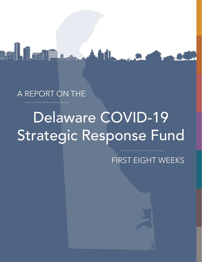## A REPORT ON THE

ALI III TILLE

# Delaware COVID-19 Strategic Response Fund

**Additional Property** 

FIRST EIGHT WEEKS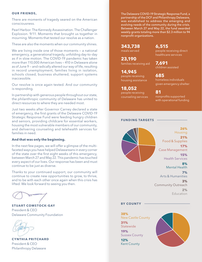#### **OUR FRIENDS,**

There are moments of tragedy seared on the American consciousness.

Pearl Harbor. The Kennedy Assassination. The Challenger Explosion. 9/11. Moments that brought us together in mourning. Moments that tested our resolve as a nation.

These are also the moments when our community shines.

We are living inside one of those moments – a national emergency, a generational tragedy, unfolding day-to-day as if in slow motion. The COVID-19 pandemic has taken more than 110,000 American lives — 410 in Delaware alone as of June 9 — and radically altered our way of life, resulting in record unemployment, families living in isolation, schools closed, business shuttered, support systems inaccessible.

Our resolve is once again tested. And our community is responding.

In partnership with generous people throughout our state, the philanthropic community of Delaware has united to direct resources to where they are needed most.

Just two weeks after Governor Carney declared a state of emergency, the first grants of the Delaware COVID-19 Strategic Response Fund were feeding hungry children and seniors, providing childcare for essential workers, housing the most vulnerable members of our community, and delivering counseling and telehealth services for families in need.

#### **And that was only the beginning.**

In the next few pages, we will offer a glimpse of the multifaceted ways you have helped Delawareans in every corner of the state over the first eight weeks of this emergency, between March 27 and May 22. This pandemic has touched every aspect of our lives. Our response has been and must continue to be just as diverse.

Thanks to your continued support, our community will continue to create new opportunities to grow, to thrive, and to be with each other once again when this crisis has lifted. We look forward to seeing you then.

**STUART COMSTOCK-GAY** President & CEO Delaware Community Foundation



**CYNTHIA PRITCHARD** President & CEO Philanthropy Delaware

The Delaware COVID-19 Strategic Response Fund, a partnership of the DCF and Philanthropy Delaware, was established to address the emerging and evolving needs of the community during the crisis. Between March 27 and May 22, the fund awarded weekly grants totaling more than \$2.3 million to 94 nonprofit organizations.

**343,738** 

meals served

**23,190** families receiving aid

**14,945** people receiving housing assistance

**18,052** people receiving counseling services **6,515** people receiving direct healthcare services

**7,691** children assisted

**685** homeless individuals given emergency shelter

#### **81**

nonprofits supported with operational funding



**FUNDING TARGETS**

**26%** Housing **21%** Food & Supplies

**17%** Case Management **15%**

Health Services

**8%** Mental Health

**7%** Arts & Humanities

**3%** Community Outreach **2% Education** 

#### **BY COUNTY**

**38%** New Castle County **31% Statewide 19%** Sussex County

**12%** Kent County

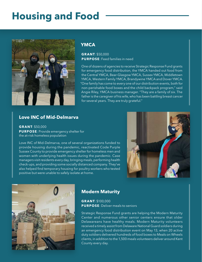## **Housing and Food**



### **YMCA**

**GRANT**: \$50,000 **PURPOSE**: Feed families in need

One of dozens of agencies to receive Strategic Response Fund grants for emergency food distribution, the YMCA handed out food from the Central YMCA, Bear-Glasgow YMCA, Sussex YMCA, Middletown YMCA, Western Family YMCA, Brandywine YMCA and Dover YMCA. "One family has come to every one of our distribution events, both for non-perishable food boxes and the child backpack program," said Angie Riley, YMCA business manager. "They are a family of six. The father is the caregiver of his wife, who has been battling breast cancer for several years. They are truly grateful."

### **Love INC of Mid-Delmarva**

**GRANT**: \$50,000 **PURPOSE**: Provide emergency shelter for the at-risk homeless population

Love INC of Mid-Delmarva, one of several organizations funded to provide housing during the pandemic, reactivated Code Purple Sussex County to provide emergency shelter for homeless men and women with underlying health issues during the pandemic. Case managers visit residents every day, bringing meals, performing health check-ups, and providing some socially distanced company. They've also helped find temporary housing for poultry workers who tested positive but were unable to safely isolate at home.





### **Modern Maturity**

**GRANT**: \$100,000 **PURPOSE**: Deliver meals to seniors

Strategic Response Fund grants are helping the Modern Maturity Center and numerous other senior centers ensure that older Delawareans have healthy meals. Modern Maturity volunteers received a timely assist from Delaware National Guard soldiers during an emergency food distribution event on May 13, when 20 active duty soldiers delivered hundreds of food boxes to Meals on Wheels clients, in addition to the 1,500 meals volunteers deliver around Kent County every day.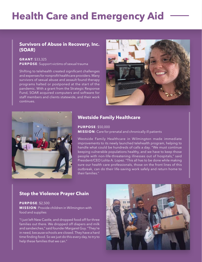## **Health Care and Emergency Aid**

### **Survivors of Abuse in Recovery, Inc. (SOAR)**

#### **GRANT**: \$33,325 **PURPOSE**: Support victims of sexual trauma

Shifting to telehealth created significant challenges and expenses for nonprofit healthcare providers. Many survivors of sexual abuse and assault found therapy programs halted or postponed at the start of the pandemic. With a grant from the Strategic Response Fund, SOAR acquired computers and software for staff members and clients statewide, and their work continues.





### **Westside Family Healthcare**

**PURPOSE**: \$50,000 **MISSION**: Care for prenatal and chronically ill patients

Westside Family Healthcare in Wilmington made immediate improvements to its newly launched telehealth program, helping to handle what could be hundreds of calls a day. "We must continue keeping vulnerable populations healthy, and we have to keep those people with non-life-threatening illnesses out of hospitals," said President/CEO Lolita A. Lopez. "This all has to be done while making sure our health care professionals, those on the front lines of this outbreak, can do their life-saving work safely and return home to their families."

### **Stop the Violence Prayer Chain**

### **PURPOSE**: \$2,500 **MISSION**: Provide children in Wilmington with food and supplies

"I just left New Castle, and dropped food off for three families out there. We dropped off diapers and milk and sandwiches," said founder Margaret Guy. "They're in need, because schools are closed. They have a hard time finding food. So we just do this every day, to try to help these families that we can."

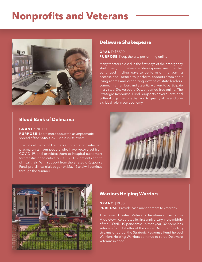## **Nonprofits and Veterans**



### **Blood Bank of Delmarva**

**GRANT**: \$20,000

**PURPOSE**: Learn more about the asymptomatic spread of the SARS-CoV-2 virus in Delaware

The Blood Bank of Delmarva collects convalescent plasma units from people who have recovered from COVID-19, and provides them to hospital customers for transfusion to critically ill COVID-19 patients and to clinical trials. With support from the Strategic Response Fund, pre-clinical trials began on May 15 and will continue through the summer.

### **Delaware Shakespeare**

**GRANT**: \$7,500 **PURPOSE**: Keep the arts performing online

Many theaters closed in the first days of the emergency shut down, but Delaware Shakespeare was one that continued finding ways to perform online, paying professional actors to perform sonnets from their living rooms and organizing dozens of state leaders, community members and essential workers to participate in a virtual Shakespeare Day, streamed free online. The Strategic Response Fund supports several arts and cultural organizations that add to quality of life and play a critical role in our economy.





### **Warriors Helping Warriors**

**GRANT**: \$10,00 **PURPOSE**: Provide case management to veterans

The Brian Conley Veterans Resiliency Center in Middletown celebrated its first anniversary in the middle of the COVID-19 pandemic. In that year, 32 homeless veterans found shelter at the center. As other funding streams dried up, the Strategic Response Fund helped Warriors Helping Warriors continue to serve Delaware veterans in need.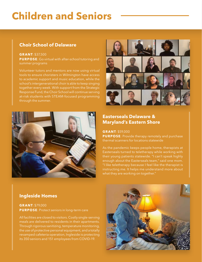## **Children and Seniors**

### **Choir School of Delaware**

#### **GRANT**: \$37,500

**PURPOSE**: Go virtual with after-school tutoring and summer programs

Volunteer tutors and mentors are now using virtual tools to ensure choristers in Wilmington have access to academic support and music education, while the school's intergenerational choir is able to keep singing together every week. With support from the Strategic Response Fund, the Choir School will continue serving at-risk students with STEAM-focused programming through the summer.





### **Easterseals Delaware & Maryland's Eastern Shore**

**GRANT**: \$59,000

**PURPOSE**: Provide therapy remotely and purchase thermal scanners for locations statewide

As the pandemic keeps people home, therapists at Easterseals turned to teletherapy while working with their young patients statewide. "I can't speak highly enough about the Easterseals team," said one mom. "I like teletherapy because I feel like the therapist is instructing me. It helps me understand more about what they are working on together."

### **Ingleside Homes**

**GRANT**: \$79,000 **PURPOSE**: Protect seniors in long-term care

All facilities are closed to visitors. Costly single-serving meals are delivered to residents in their apartments. Through rigorous sanitizing, temperature monitoring, the use of protective personal equipment, and a totally revamped cafeteria operation, Ingleside is protecting its 350 seniors and 151 employees from COVID-19.

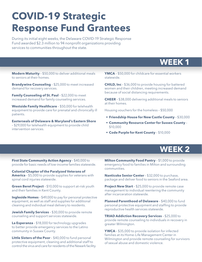## **COVID-19 Strategic Response Fund Grantees**

During its initial eight weeks, the Delaware COVID-19 Strategic Response Fund awarded \$2.3 million to 94 nonprofit organizations providing services to communities throughout the state.

## **WEEK 1**

**Modern Maturity** – \$50,000 to deliver additional meals to seniors at their homes.

**Brandywine Counseling** – \$25,000 to meet increased demand for recovery services.

**Family Counseling of St. Paul** – \$22,000 to meet increased demand for family counseling services.

**Westside Family Healthcare** – \$50,000 for telehealth equipment to provide care for prenatal and chronically ill patients.

**Easterseals of Delaware & Maryland's Eastern Shore** – \$29,000 for telehealth equipment to provide child intervention services.

**YMCA** – \$50,000 for childcare for essential workers statewide.

**CHILD, Inc** – \$36,000 to provide housing for battered women and their children, meeting increased demand because of social distancing requirements.

**CHEER** – \$38,000 delivering additional meals to seniors at their homes.

Housing vouchers for the homeless – \$50,000

- **Friendship House for New Castle County** \$30,000
- **Community Resource Center for Sussex County** \$10,000
- **Code Purple for Kent County** \$10,000

## **WEEK 2**

**First State Community Action Agency** – \$40,000 to provide for basic needs of low-income families statewide.

**Colonial Chapter of the Paralyzed Veterans of America** – \$5,000 to provide supplies for veterans with spinal cord injuries statewide.

**Green Beret Project** – \$10,000 to support at-risk youth and their families in Kent County.

**Ingleside Homes** – \$49,000 to pay for personal protective equipment, as well as staff and supplies for additional cleaning and individual meal delivery to residents.

**Jewish Family Services** - \$30,000 to provide remote counseling and support services statewide.

**La Esperanza** – \$18,000 for technology upgrades to better provide emergency services to the Latino community in Sussex County.

**Little Sisters of the Poor** - \$40,000 to fund personal protective equipment, cleaning and additional staff to control the virus and care for residents of the Newark facility. **Milton Community Food Pantry** – \$1,000 to provide emergency food to families in Milton and surrounding communities.

**Nanticoke Senior Center** – \$32,000 to purchase, package and deliver food to seniors in the Seaford area.

**Project New Start** – \$25,000 to provide remote case management to individual reentering the community after incarceration statewide.

**Planned Parenthood of Delaware** – \$40,000 to fund personal protective equipment and staffing to provide reproductive health services statewide.

**TRIAD Addiction Recovery Services** – \$25,000 to provide remote counseling to individuals in recovery in greater Wilmington.

**YWCA** – \$35,000 to provide isolation for infected families at its Home-Life Management Center in Wilmington and provide remote counseling for survivors of sexual abuse and domestic violence.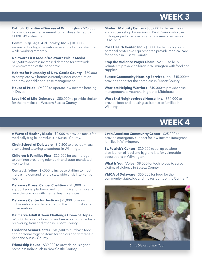### **WEEK 3**

**Catholic Charities – Diocese of Wilmington** – \$25,000 to provide case management for families affected by COVID-19 statewide.

**Community Legal Aid Society, Inc**. – \$10,000 for secure technology to continue serving clients statewide while working remotely.

**Delaware First Media/Delaware Public Media** – \$12,500 to address increased demand for statewide news coverage of the pandemic.

**Habitat for Humanity of New Castle County** – \$50,000 to complete two homes currently under construction and provide additional case management.

**House of Pride** – \$9,000 to operate low-income housing in Dover.

**Love INC of Mid-Delmarva** – \$50,000 to provide shelter for the homeless in Western Sussex County.

**Modern Maturity Center** – \$50,000 to deliver meals and grocery shop for seniors in Kent County who can no longer participate in congregate meals because of COVID-19.

**Rosa Health Center, Inc**. – \$3,000 for technology and personal protective equipment to provide medical care for people in Sussex County.

**Stop the Violence Prayer Chain** - \$2,500 to help volunteers provide children in Wilmington with food and supplies.

**Sussex Community Housing Services**, Inc. – \$15,000 to provide shelter for the homeless in Sussex County.

**Warriors Helping Warriors** – \$10,000 to provide case management to veterans in greater Middletown.

**West End Neighborhood House, Inc**. – \$50,000 to provide food and housing assistance to families in Wilmington.

### **WEEK 4**

**A Wave of Healthy Meals** – \$2,000 to provide meals for medically fragile individuals in Sussex County.

**Choir School of Delaware** – \$17,500 to provide virtual after-school tutoring to students in Wilmington.

**Children & Families First** – \$20,000 for technology to continue providing telehealth and state-mandated monitoring.

**ContactLifeline** – \$7,000 to increase staffing to meet increasing demand for the statewide crisis intervention hotline.

**Delaware Breast Cancer Coalition** – \$15,000 to support social platforms and communications tools to provide survivors with mental health services.

**Delaware Center for Justice** – \$25,000 to serve individuals statewide re-entering the community after incarceration.

**Delmarva Adult & Teen Challenge Home of Hope** – \$25,000 to provide housing and services for individuals recovering from addiction in Sussex County.

**Frederica Senior Center** – \$10,500 to purchase food and personal hygiene items for seniors and veterans in Kent and Sussex County.

**Friendship House** – \$30,000 to provide housing for homeless individuals in New Castle County.

**Latin American Community Center** – \$25,000 to provide emergency support for low-income immigrant families in Wilmington.

**St. Patrick's Center** – \$20,000 to set up outdoor distribution of food and hygiene kits for vulnerable populations in Wilmington.

What is Your Voice - \$8,000 for technology to serve victims of violence in Sussex County.

**YMCA of Delaware** – \$50,000 for food for the community statewide and the residents of the Central Y.



*Little Sisters of the Poor*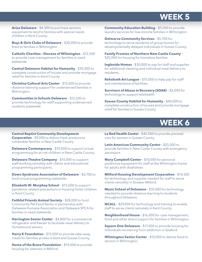### **WEEK 5**

**Arise Delaware** – \$4,300 to purchase sensory equipment to lend to families with special needs children in Kent County.

**Boys & Girls Clubs of Delaware** – \$30,000 to provide food to families in Wilmington.

**Catholic Charities – Diocese of Wilmington** – \$12,500 to provide case management for families in need statewide.

**Central Delaware Habitat for Humanity** – \$35,000 to complete construction of houses and provide mortgage relief for families in Kent County.

**Christina Cultural Arts Center** – \$15,000 to provide distance learning support for underserved families in Wilmington.

**Communities in Schools Delaware** – \$12,500 to provide technology for staff supporting underserved students statewide.

**Community Education Building** – \$5,000 to provide laundry services for low-income families in Wilmington.

**Delmarva Community Services** – \$5,700 for technology to serve residents of group homes for developmentally delayed individuals in Sussex County.

**Family Promise of Northern New Castle County** – \$25,000 for housing for homeless families.

**Ingleside Homes** – \$30,000 to pay for staff and supplies for additional cleaning and individual meal delivery to residents.

**Rehoboth Art League** – \$15,000 to help pay for staff and maintenance of facilities.

**Survivors of Abuse in Recovery (SOAR)** – \$3,000 for technology to support telehealth.

**Sussex County Habitat for Humanity** – \$40,000 to complete construction of houses and provide mortgage relief for families in Sussex County.

### **WEEK 6**

**Central Baptist Community Development Corporation** – \$9,000 to deliver fresh produce to vulnerable families in New Castle County.

**Delaware Contemporary** – \$10,000 to support virtual programming for at-risk children in New Castle County.

**Delaware Theatre Company** – \$10,000 to support staff working remotely with clients and educational programming participants.

**Down Syndrome Association of Delaware** – \$3,700 to fund virtual programming statewide.

**Elizabeth W. Murphey School** – \$15,600 to support pandemic-related precautions in housing foster children in Kent County.

**Faithful Friends Animal Society** – \$28,000 to fund Community Pet Food Banks in partnership with Delaware Humane Association and Delaware SPCA for families in need statewide.

**Harrington Senior Center** - \$4,800 for a commercial refrigerator and freezer to facilitate meal delivery to homebound seniors.

**Harry K Foundation** - \$15,000 to provide take-away meals for families at sites in Kent and Sussex County.

**Home of the Brave Foundation** - \$10,000 to provide housing for veterans in Milford.

**La Red Health Center** – \$42,000 to provide prenatal care for women in Sussex County.

**Latin American Community Center** – \$25,000 to provide families in New Castle County with emergency assistance.

**Mary Campbell Center** – \$10,000 for personal protective equipment for staff at the Wilmington home for adults with disabilities.

**Milford Housing Development Corporation** – \$10,500 for technology and supplies needed for staff to serve clients remotely in Greater Milford.

**Music School of Delaware** – \$10,000 for technology needed to provide distance learning to students throughout Delaware.

**NCALL** – \$29,000 for technology and training to enable staff to serve clients remotely in Kent County.

**Neighborhood House** – \$16,000 for case management, food and other direct support for families in Wilmington.

**Square One Delaware** - \$17,000 to provide housing for individuals recovering from addiction in Seaford.

**Wilmington Senior Center** – \$10,000 to deliver food to seniors in Wilmington.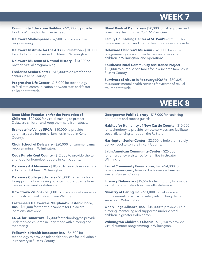### **WEEK 7**

**Community Education Building** – \$2,800 to provide food to Wilmington families in need.

**Delaware Shakespeare** - \$7,500 to provide virtual programming.

**Delaware Institute for the Arts in Education** – \$10,000 for art kits for underserved children in Wilmington.

**Delaware Museum of Natural History** – \$10,000 to provide virtual programming.

**Frederica Senior Center** – \$12,000 to deliver food to seniors in Kent County.

**Progressive Life Center** – \$15,000 for technology to facilitate communication between staff and foster children statewide.

**Blood Bank of Delmarva** – \$20,000 for lab supplies and pre-clinical testing of a COVID-19 vaccine.

**Family Counseling Center of St. Paul's** – \$21,000 for case management and mental health services statewide.

**Delaware Children's Museum** – \$25,000 for virtual programming, delivering activities and snacks to children in Wilmington, and operations.

**Southeast Rural Community Assistance Project** – \$25,000 to pump septic tanks for low-income families in Sussex County.

**Survivors of Abuse in Recovery (SOAR)** – \$30,325 to support mental health services for victims of sexual trauma statewide.

### **WEEK 8**

**Beau Biden Foundation for the Protection of Children** – \$22,000 for virtual training to protect Delaware children and keep them safe from abuse.

**Brandywine Valley SPCA** - \$10,000 to provide veterinary care for pets of families in need in Kent County.

**Choir School of Delaware** – \$20,000 for summer camp programming in Wilmington.

**Code Purple Kent County** – \$12,000 to provide shelter and food for homeless people in Kent County.

**Delaware Art Museum** - \$10,775 to provide educational art kits for children in Wilmington.

**Delaware College Scholars** – \$18,000 for technology to support high-achieving public-school students from low-income families statewide.

**Downtown Visions** – \$10,000 to provide safety services and trash removal in downtown Wilmington.

**Easterseals Delaware & Maryland's Eastern Shore, Inc.** – \$30,000 for thermal scanners for Delaware locations statewide.

**EDGE for Tomorrow** - \$9,000 for technology to provide underserved children in Edgemoor with tutoring and mentoring.

**Fellowship Health Resources Inc.** – \$6,500 for technology to provide telehealth services for individuals in recovery in Sussex County.

**Georgetown Public Library** – \$16,000 for sanitizing equipment and sneeze guards.

**Habitat for Humanity of New Castle County** – \$10,000 for technology to provide remote services and facilitate social distancing to reopen the ReStore.

**Harrington Senior Center** – \$2,500 to help them safely deliver food to seniors in Kent County.

**Latin American Community Center** – \$25,000 for emergency assistance for families in Greater Wilmington.

**Laurel Community Foundation, Inc.** – \$4,000 to provide emergency housing for homeless families in western Sussex County.

**Literacy Delaware** – \$15,567 for technology to provide virtual literacy instruction to adults statewide.

**Ministry of Caring Inc.** - \$11,000 to make capital improvements to allow for safely relaunching dental services in Wilmington.

**One Village Alliance, Inc.** - \$15,000 to provide virtual tutoring, mentoring and support to underserved children in greater Wilmington.

**Wilmington Children's Chorus** – \$13,250 to provide virtual summer programming in Wilmington.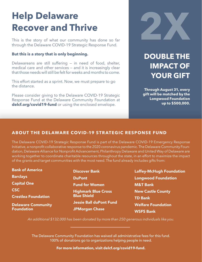## **Help Delaware Recover and Thrive**

This is the story of what our community has done so far through the Delaware COVID-19 Strategic Response Fund.

### **But this is a story that is only beginning.**

Delawareans are still suffering — in need of food, shelter, medical care and other services — and it is increasingly clear that those needs will still be felt for weeks and months to come.

This effort started as a sprint. Now, we must prepare to go the distance.

Please consider giving to the Delaware COVID-19 Strategic Response Fund at the Delaware Community Foundation at **delcf.org/covid19-fund** or using the enclosed envelope.



## **DOUBLE THE IMPACT OF YOUR GIFT**

**Through August 31, every gift will be matched by the Longwood Foundation up to \$500,000.**

### **ABOUT THE DELAWARE COVID-19 STRATEGIC RESPONSE FUND**

The Delaware COVID-19 Strategic Response Fund is part of the Delaware COVID-19 Emergency Response Initiative, a nonprofit collaborative response to the 2020 coronavirus pandemic. The Delaware Community Foundation, Delaware Alliance for Nonprofit Advancement, Philanthropy Delaware and United Way of Delaware are working together to coordinate charitable resources throughout the state, in an effort to maximize the impact of the grants and target communities with the most need. The fund already includes gifts from:

Bank of America **Barclays** Capital One CSC Crestlea Foundation Delaware Community **Foundation** 

Discover Bank DuPont Fund for Women Highmark Blue Cross Blue Shield Jessie Ball duPont Fund JPMorgan Chase

Laffey-McHugh Foundation Longwood Foundation M&T Bank New Castle County TD Bank Welfare Foundation WSFS Bank

*An additional \$132,000 has been donated by more than 250 generous individuals like you.* 

The Delaware Community Foundation has waived all administrative fees for this fund. 100% of donations go to organizations helping people in need.

**For more information, visit delcf.org/covid19-fund.**